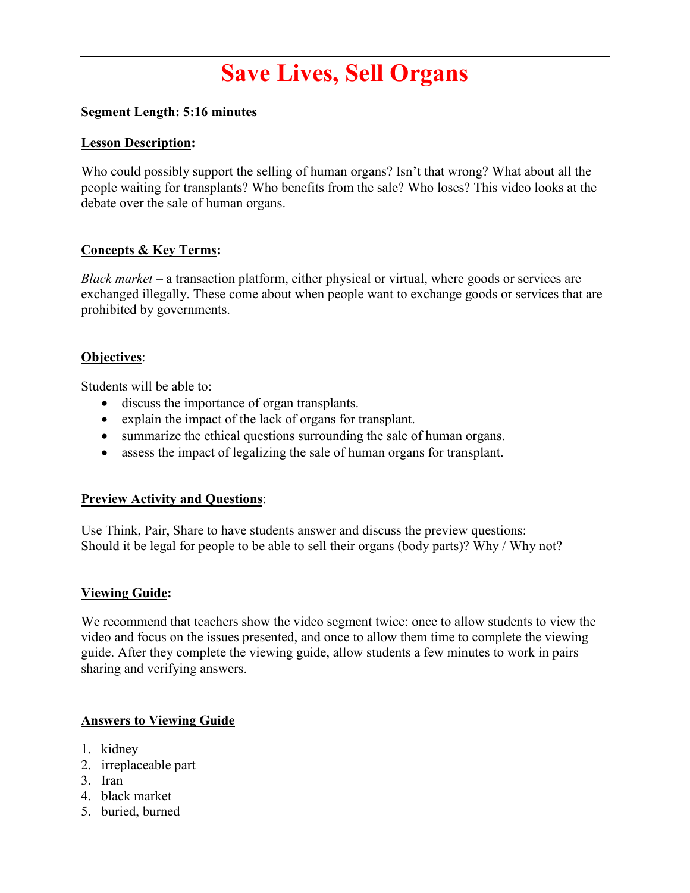# **Save Lives, Sell Organs**

## **Segment Length: 5:16 minutes**

#### **Lesson Description:**

Who could possibly support the selling of human organs? Isn't that wrong? What about all the people waiting for transplants? Who benefits from the sale? Who loses? This video looks at the debate over the sale of human organs.

## **Concepts & Key Terms:**

*Black market* – a transaction platform, either physical or virtual, where goods or services are exchanged illegally. These come about when people want to exchange goods or services that are prohibited by governments.

## **Objectives**:

Students will be able to:

- discuss the importance of organ transplants.
- explain the impact of the lack of organs for transplant.
- summarize the ethical questions surrounding the sale of human organs.
- assess the impact of legalizing the sale of human organs for transplant.

#### **Preview Activity and Questions**:

Use Think, Pair, Share to have students answer and discuss the preview questions: Should it be legal for people to be able to sell their organs (body parts)? Why / Why not?

#### **Viewing Guide:**

We recommend that teachers show the video segment twice: once to allow students to view the video and focus on the issues presented, and once to allow them time to complete the viewing guide. After they complete the viewing guide, allow students a few minutes to work in pairs sharing and verifying answers.

#### **Answers to Viewing Guide**

- 1. kidney
- 2. irreplaceable part
- 3. Iran
- 4. black market
- 5. buried, burned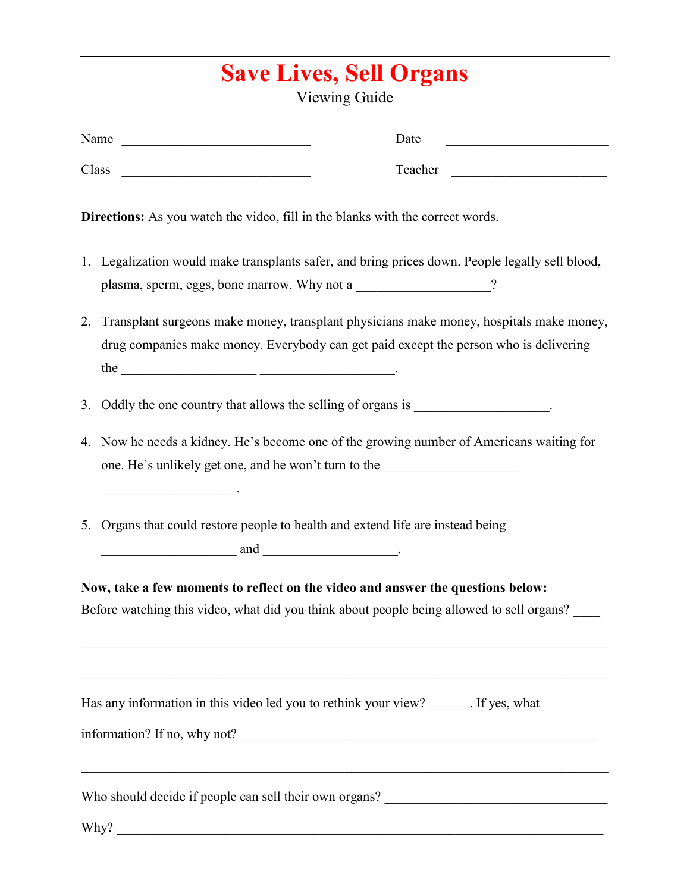## **Save Lives, Sell Organs**

Viewing Guide

|    | Name<br>Date                                                                                                                                                                     |
|----|----------------------------------------------------------------------------------------------------------------------------------------------------------------------------------|
|    | Class<br>Teacher                                                                                                                                                                 |
|    | <b>Directions:</b> As you watch the video, fill in the blanks with the correct words.                                                                                            |
|    | 1. Legalization would make transplants safer, and bring prices down. People legally sell blood,<br>plasma, sperm, eggs, bone marrow. Why not a _____________________?            |
| 2. | Transplant surgeons make money, transplant physicians make money, hospitals make money,<br>drug companies make money. Everybody can get paid except the person who is delivering |
| 3. | Oddly the one country that allows the selling of organs is ____________________.                                                                                                 |
|    | 4. Now he needs a kidney. He's become one of the growing number of Americans waiting for<br>one. He's unlikely get one, and he won't turn to the ____________________________    |
|    | 5. Organs that could restore people to health and extend life are instead being<br>$\overline{\phantom{a}}$ and $\overline{\phantom{a}}$ .                                       |
|    | Now, take a few moments to reflect on the video and answer the questions below:<br>Before watching this video, what did you think about people being allowed to sell organs?     |
|    | Has any information in this video led you to rethink your view? _______. If yes, what<br>,我们也不能在这里的时候,我们也不能在这里的时候,我们也不能会在这里的时候,我们也不能会在这里的时候,我们也不能会在这里的时候,我们也不能会在这里的时候,我们也        |
|    |                                                                                                                                                                                  |
|    | Why?                                                                                                                                                                             |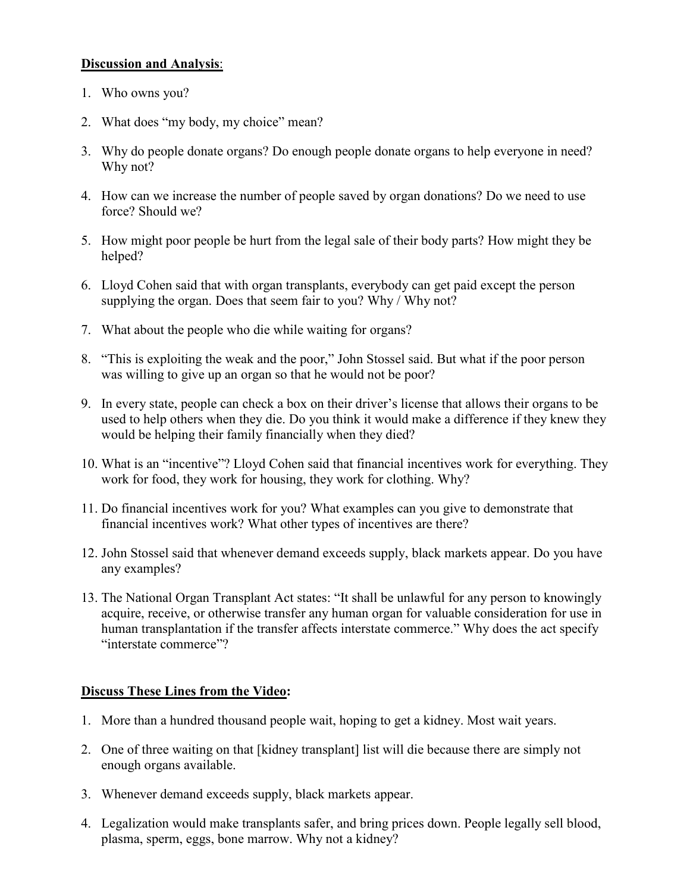## **Discussion and Analysis**:

- 1. Who owns you?
- 2. What does "my body, my choice" mean?
- 3. Why do people donate organs? Do enough people donate organs to help everyone in need? Why not?
- 4. How can we increase the number of people saved by organ donations? Do we need to use force? Should we?
- 5. How might poor people be hurt from the legal sale of their body parts? How might they be helped?
- 6. Lloyd Cohen said that with organ transplants, everybody can get paid except the person supplying the organ. Does that seem fair to you? Why / Why not?
- 7. What about the people who die while waiting for organs?
- 8. "This is exploiting the weak and the poor," John Stossel said. But what if the poor person was willing to give up an organ so that he would not be poor?
- 9. In every state, people can check a box on their driver's license that allows their organs to be used to help others when they die. Do you think it would make a difference if they knew they would be helping their family financially when they died?
- 10. What is an "incentive"? Lloyd Cohen said that financial incentives work for everything. They work for food, they work for housing, they work for clothing. Why?
- 11. Do financial incentives work for you? What examples can you give to demonstrate that financial incentives work? What other types of incentives are there?
- 12. John Stossel said that whenever demand exceeds supply, black markets appear. Do you have any examples?
- 13. The National Organ Transplant Act states: "It shall be unlawful for any person to knowingly acquire, receive, or otherwise transfer any human organ for valuable consideration for use in human transplantation if the transfer affects interstate commerce." Why does the act specify "interstate commerce"?

## **Discuss These Lines from the Video:**

- 1. More than a hundred thousand people wait, hoping to get a kidney. Most wait years.
- 2. One of three waiting on that [kidney transplant] list will die because there are simply not enough organs available.
- 3. Whenever demand exceeds supply, black markets appear.
- 4. Legalization would make transplants safer, and bring prices down. People legally sell blood, plasma, sperm, eggs, bone marrow. Why not a kidney?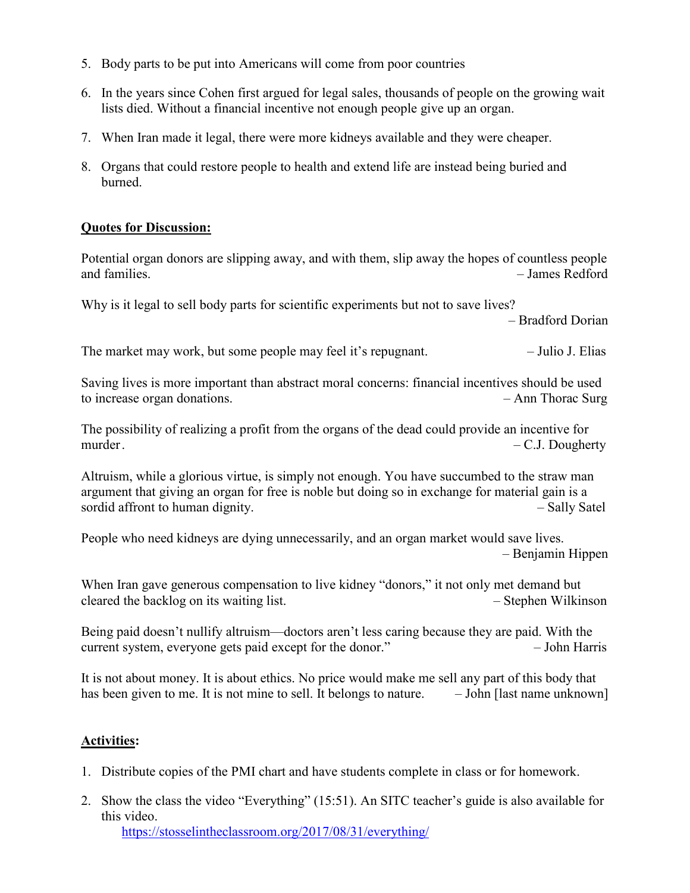- 5. Body parts to be put into Americans will come from poor countries
- 6. In the years since Cohen first argued for legal sales, thousands of people on the growing wait lists died. Without a financial incentive not enough people give up an organ.
- 7. When Iran made it legal, there were more kidneys available and they were cheaper.
- 8. Organs that could restore people to health and extend life are instead being buried and burned.

## **Quotes for Discussion:**

Potential organ donors are slipping away, and with them, slip away the hopes of countless people and families. – James Redford

Why is it legal to sell body parts for scientific experiments but not to save lives?

– Bradford Dorian

The market may work, but some people may feel it's repugnant.  $\qquad -$  Julio J. Elias

Saving lives is more important than abstract moral concerns: financial incentives should be used to increase organ donations. – Ann Thorac Surg

The possibility of realizing a profit from the organs of the dead could provide an incentive for murder.  $\qquad - C.J. \nDougherty$ 

Altruism, while a glorious virtue, is simply not enough. You have succumbed to the straw man argument that giving an organ for free is noble but doing so in exchange for material gain is a sordid affront to human dignity.  $-$  Sally Satel

People who need kidneys are dying unnecessarily, and an organ market would save lives. – Benjamin Hippen

When Iran gave generous compensation to live kidney "donors," it not only met demand but cleared the backlog on its waiting list. – Stephen Wilkinson

Being paid doesn't nullify altruism—doctors aren't less caring because they are paid. With the current system, everyone gets paid except for the donor." – John Harris

It is not about money. It is about ethics. No price would make me sell any part of this body that has been given to me. It is not mine to sell. It belongs to nature.  $\qquad -$  John [last name unknown]

## **Activities:**

- 1. Distribute copies of the PMI chart and have students complete in class or for homework.
- 2. Show the class the video "Everything" (15:51). An SITC teacher's guide is also available for this video.

<https://stosselintheclassroom.org/2017/08/31/everything/>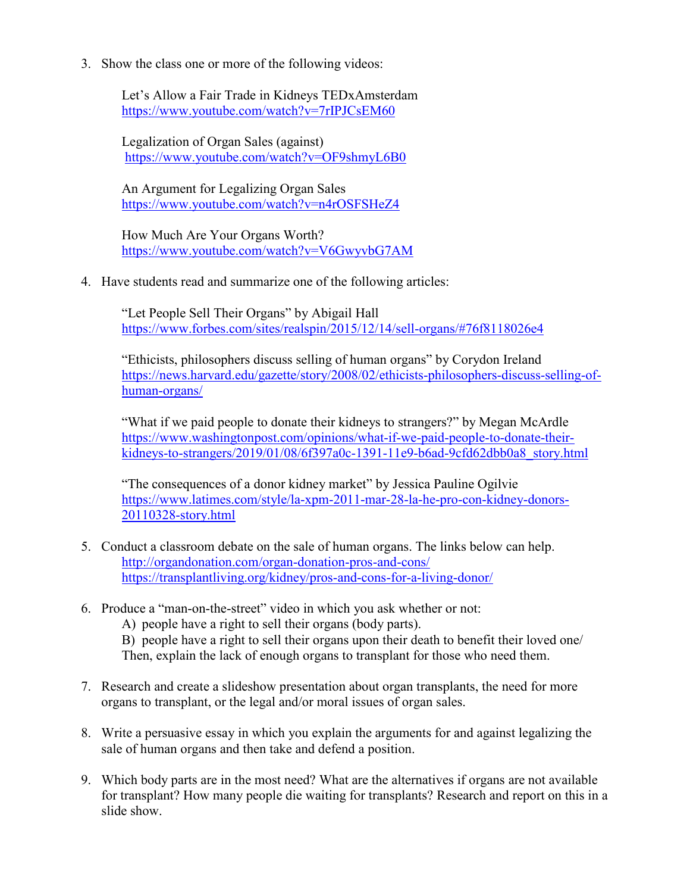3. Show the class one or more of the following videos:

Let's Allow a Fair Trade in Kidneys TEDxAmsterdam <https://www.youtube.com/watch?v=7rIPJCsEM60>

Legalization of Organ Sales (against) <https://www.youtube.com/watch?v=OF9shmyL6B0>

An Argument for Legalizing Organ Sales <https://www.youtube.com/watch?v=n4rOSFSHeZ4>

How Much Are Your Organs Worth? <https://www.youtube.com/watch?v=V6GwyvbG7AM>

4. Have students read and summarize one of the following articles:

"Let People Sell Their Organs" by Abigail Hall <https://www.forbes.com/sites/realspin/2015/12/14/sell-organs/#76f8118026e4>

"Ethicists, philosophers discuss selling of human organs" by Corydon Ireland [https://news.harvard.edu/gazette/story/2008/02/ethicists-philosophers-discuss-selling-of](https://news.harvard.edu/gazette/story/2008/02/ethicists-philosophers-discuss-selling-of-human-organs/)[human-organs/](https://news.harvard.edu/gazette/story/2008/02/ethicists-philosophers-discuss-selling-of-human-organs/)

"What if we paid people to donate their kidneys to strangers?" by Megan McArdle https://www.washingtonpost.com/opinions/what-if-we-paid-people-to-donate-theirkidneys-to-strangers/2019/01/08/6f397a0c-1391-11e9-b6ad-9cfd62dbb0a8\_story.html

"The consequences of a donor kidney market" by Jessica Pauline Ogilvie [https://www.latimes.com/style/la-xpm-2011-mar-28-la-he-pro-con-kidney-donors-](https://www.latimes.com/style/la-xpm-2011-mar-28-la-he-pro-con-kidney-donors-20110328-story.html)[20110328-story.html](https://www.latimes.com/style/la-xpm-2011-mar-28-la-he-pro-con-kidney-donors-20110328-story.html)

- 5. Conduct a classroom debate on the sale of human organs. The links below can help. <http://organdonation.com/organ-donation-pros-and-cons/> <https://transplantliving.org/kidney/pros-and-cons-for-a-living-donor/>
- 6. Produce a "man-on-the-street" video in which you ask whether or not:
	- A) people have a right to sell their organs (body parts).

B) people have a right to sell their organs upon their death to benefit their loved one/ Then, explain the lack of enough organs to transplant for those who need them.

- 7. Research and create a slideshow presentation about organ transplants, the need for more organs to transplant, or the legal and/or moral issues of organ sales.
- 8. Write a persuasive essay in which you explain the arguments for and against legalizing the sale of human organs and then take and defend a position.
- 9. Which body parts are in the most need? What are the alternatives if organs are not available for transplant? How many people die waiting for transplants? Research and report on this in a slide show.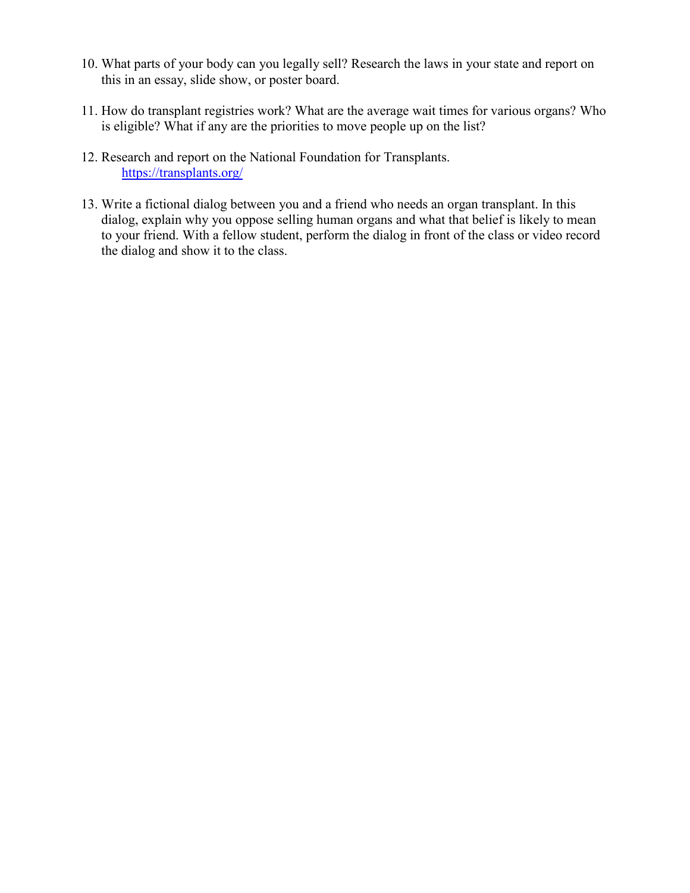- 10. What parts of your body can you legally sell? Research the laws in your state and report on this in an essay, slide show, or poster board.
- 11. How do transplant registries work? What are the average wait times for various organs? Who is eligible? What if any are the priorities to move people up on the list?
- 12. Research and report on the National Foundation for Transplants. <https://transplants.org/>
- 13. Write a fictional dialog between you and a friend who needs an organ transplant. In this dialog, explain why you oppose selling human organs and what that belief is likely to mean to your friend. With a fellow student, perform the dialog in front of the class or video record the dialog and show it to the class.